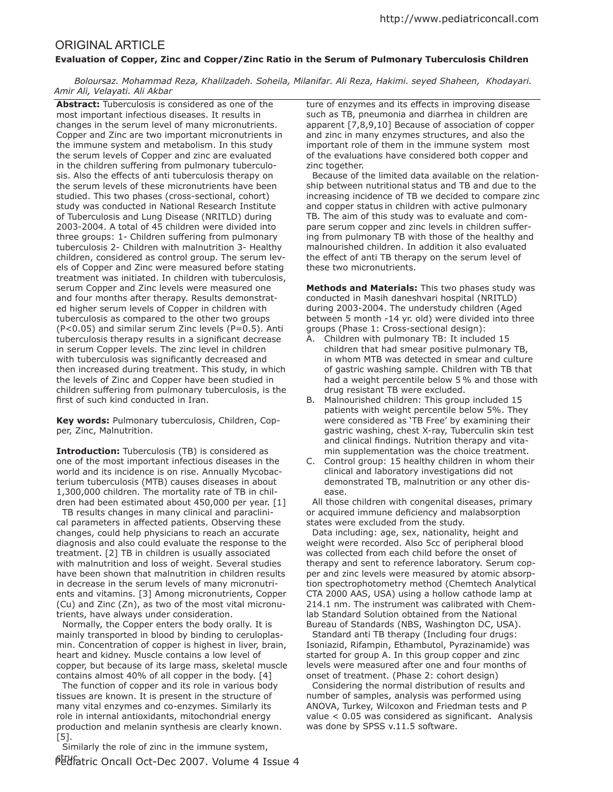## ORIGINAL ARTICLE

## **Evaluation of Copper, Zinc and Copper/Zinc Ratio in the Serum of Pulmonary Tuberculosis Children**

 *Boloursaz. Mohammad Reza, Khalilzadeh. Soheila, Milanifar. Ali Reza, Hakimi. seyed Shaheen, Khodayari. Amir Ali, Velayati. Ali Akbar*

**Abstract:** Tuberculosis is considered as one of the most important infectious diseases. It results in changes in the serum level of many micronutrients. Copper and Zinc are two important micronutrients in the immune system and metabolism. In this study the serum levels of Copper and zinc are evaluated in the children suffering from pulmonary tuberculosis. Also the efects of anti tuberculosis therapy on the serum levels of these micronutrients have been studied. This two phases (cross-sectional, cohort) study was conducted in National Research Institute of Tuberculosis and Lung Disease (NRITLD) during 2003-2004. A total of 45 children were divided into three groups: 1- Children sufering from pulmonary tuberculosis 2- Children with malnutrition 3- Healthy children, considered as control group. The serum levels of Copper and Zinc were measured before stating treatment was initiated. In children with tuberculosis, serum Copper and Zinc levels were measured one and four months after therapy. Results demonstrated higher serum levels of Copper in children with tuberculosis as compared to the other two groups  $(P<0.05)$  and similar serum Zinc levels  $(P=0.5)$ . Anti tuberculosis therapy results in a significant decrease in serum Copper levels. The zinc level in children with tuberculosis was significantly decreased and then increased during treatment. This study, in which the levels of Zinc and Copper have been studied in children sufering from pulmonary tuberculosis, is the first of such kind conducted in Iran.

**Key words:** Pulmonary tuberculosis, Children, Copper, Zinc, Malnutrition.

**Introduction:** Tuberculosis (TB) is considered as one of the most important infectious diseases in the world and its incidence is on rise. Annually Mycobacterium tuberculosis (MTB) causes diseases in about 1,300,000 children. The mortality rate of TB in children had been estimated about 450,000 per year. [1]

 TB results changes in many clinical and paraclinical parameters in afected patients. Observing these changes, could help physicians to reach an accurate diagnosis and also could evaluate the response to the treatment. [2] TB in children is usually associated with malnutrition and loss of weight. Several studies have been shown that malnutrition in children results in decrease in the serum levels of many micronutrients and vitamins. [3] Among micronutrients, Copper (Cu) and Zinc (Zn), as two of the most vital micronutrients, have always under consideration.

 Normally, the Copper enters the body orally. It is mainly transported in blood by binding to ceruloplasmin. Concentration of copper is highest in liver, brain, heart and kidney. Muscle contains a low level of copper, but because of its large mass, skeletal muscle contains almost 40% of all copper in the body. [4]

 The function of copper and its role in various body tissues are known. It is present in the structure of many vital enzymes and co-enzymes. Similarly its role in internal antioxidants, mitochondrial energy production and melanin synthesis are clearly known. [5].

ptufatric Oncall Oct-Dec 2007. Volume 4 Issue 4 Similarly the role of zinc in the immune system,

ture of enzymes and its effects in improving disease such as TB, pneumonia and diarrhea in children are apparent [7,8,9,10] Because of association of copper and zinc in many enzymes structures, and also the important role of them in the immune system most of the evaluations have considered both copper and zinc together.

 Because of the limited data available on the relationship between nutritional status and TB and due to the increasing incidence of TB we decided to compare zinc and copper status in children with active pulmonary TB. The aim of this study was to evaluate and compare serum copper and zinc levels in children sufering from pulmonary TB with those of the healthy and malnourished children. In addition it also evaluated the effect of anti TB therapy on the serum level of these two micronutrients.

**Methods and Materials:** This two phases study was conducted in Masih daneshvari hospital (NRITLD) during 2003-2004. The understudy children (Aged between 5 month -14 yr. old) were divided into three groups (Phase 1: Cross-sectional design):

- A. Children with pulmonary TB: It included 15 children that had smear positive pulmonary TB, in whom MTB was detected in smear and culture of gastric washing sample. Children with TB that had a weight percentile below 5 % and those with drug resistant TB were excluded.
- B. Malnourished children: This group included 15 patients with weight percentile below 5%. They were considered as 'TB Free' by examining their gastric washing, chest X-ray, Tuberculin skin test and clinical findings. Nutrition therapy and vitamin supplementation was the choice treatment.
- C. Control group: 15 healthy children in whom their clinical and laboratory investigations did not demonstrated TB, malnutrition or any other disease.

 All those children with congenital diseases, primary or acquired immune deficiency and malabsorption states were excluded from the study.

 Data including: age, sex, nationality, height and weight were recorded. Also 5cc of peripheral blood was collected from each child before the onset of therapy and sent to reference laboratory. Serum copper and zinc levels were measured by atomic absorption spectrophotometry method (Chemtech Analytical CTA 2000 AAS, USA) using a hollow cathode lamp at 214.1 nm. The instrument was calibrated with Chemlab Standard Solution obtained from the National Bureau of Standards (NBS, Washington DC, USA).

 Standard anti TB therapy (Including four drugs: Isoniazid, Rifampin, Ethambutol, Pyrazinamide) was started for group A. In this group copper and zinc levels were measured after one and four months of onset of treatment. (Phase 2: cohort design)

 Considering the normal distribution of results and number of samples, analysis was performed using ANOVA, Turkey, Wilcoxon and Friedman tests and P  $value < 0.05$  was considered as significant. Analysis was done by SPSS v.11.5 software.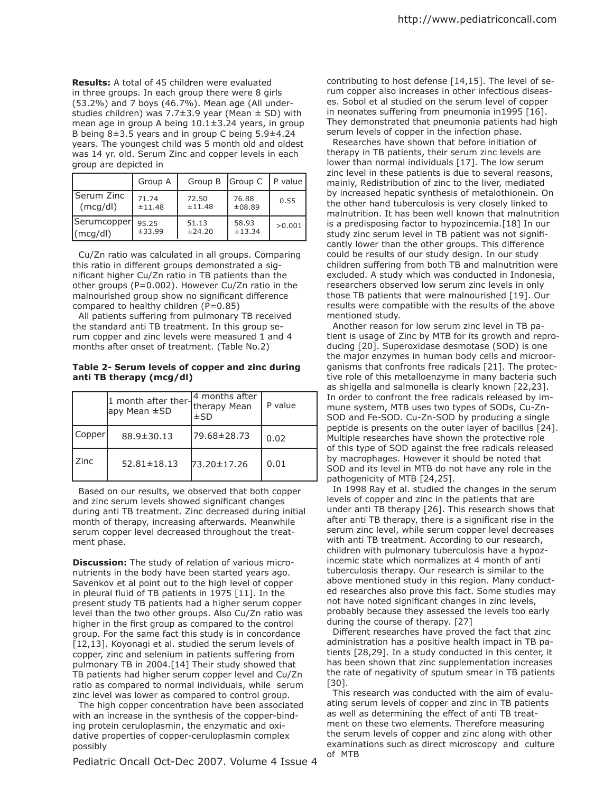**Results:** A total of 45 children were evaluated in three groups. In each group there were 8 girls (53.2%) and 7 boys (46.7%). Mean age (All understudies children) was 7.7 $\pm$ 3.9 year (Mean  $\pm$  SD) with mean age in group A being 10.1±3.24 years, in group B being 8±3.5 years and in group C being 5.9±4.24 years. The youngest child was 5 month old and oldest was 14 yr. old. Serum Zinc and copper levels in each group are depicted in

|                   | Group A | Group B   Group C |        | P value |
|-------------------|---------|-------------------|--------|---------|
| <b>Serum Zinc</b> | 71.74   | 72.50             | 76.88  | 0.55    |
| (mcq/dl)          | ±11.48  | ±11.48            | ±08.89 |         |
| Serumcopper       | 95.25   | 51.13             | 58.93  | >0.001  |
| $\vert$ (mcg/dl)  | ±33.99  | ±24.20            | ±13.34 |         |

 Cu/Zn ratio was calculated in all groups. Comparing this ratio in diferent groups demonstrated a significant higher Cu/Zn ratio in TB patients than the other groups (P=0.002). However Cu/Zn ratio in the malnourished group show no significant difference compared to healthy children (P=0.85)

All patients suffering from pulmonary TB received the standard anti TB treatment. In this group serum copper and zinc levels were measured 1 and 4 months after onset of treatment. (Table No.2)

## **Table 2- Serum levels of copper and zinc during anti TB therapy (mcg/dl)**

|        | $11$ month after ther $\frac{1}{1}$ therapy Mean<br> apy Mean ±SD | 4 months after<br>$\pm$ SD | P value |
|--------|-------------------------------------------------------------------|----------------------------|---------|
| Copper | 88.9±30.13                                                        | 79.68±28.73                | 0.02    |
| l Zinc | $52.81 \pm 18.13$                                                 | 73.20±17.26                | 0.01    |

 Based on our results, we observed that both copper and zinc serum levels showed significant changes during anti TB treatment. Zinc decreased during initial month of therapy, increasing afterwards. Meanwhile serum copper level decreased throughout the treatment phase.

**Discussion:** The study of relation of various micronutrients in the body have been started years ago. Savenkov et al point out to the high level of copper in pleural fluid of TB patients in 1975 [11]. In the present study TB patients had a higher serum copper level than the two other groups. Also Cu/Zn ratio was higher in the first group as compared to the control group. For the same fact this study is in concordance [12,13]. Koyonagi et al. studied the serum levels of copper, zinc and selenium in patients sufering from pulmonary TB in 2004.[14] Their study showed that TB patients had higher serum copper level and Cu/Zn ratio as compared to normal individuals, while serum zinc level was lower as compared to control group.

 The high copper concentration have been associated with an increase in the synthesis of the copper-binding protein ceruloplasmin, the enzymatic and oxidative properties of copper-ceruloplasmin complex possibly

Pediatric Oncall Oct-Dec 2007. Volume 4 Issue 4

contributing to host defense [14,15]. The level of serum copper also increases in other infectious diseases. Sobol et al studied on the serum level of copper in neonates suffering from pneumonia in1995 [16]. They demonstrated that pneumonia patients had high serum levels of copper in the infection phase.

 Researches have shown that before initiation of therapy in TB patients, their serum zinc levels are lower than normal individuals [17]. The low serum zinc level in these patients is due to several reasons, mainly, Redistribution of zinc to the liver, mediated by increased hepatic synthesis of metalothionein. On the other hand tuberculosis is very closely linked to malnutrition. It has been well known that malnutrition is a predisposing factor to hypozincemia.[18] In our study zinc serum level in TB patient was not significantly lower than the other groups. This diference could be results of our study design. In our study children sufering from both TB and malnutrition were excluded. A study which was conducted in Indonesia, researchers observed low serum zinc levels in only those TB patients that were malnourished [19]. Our results were compatible with the results of the above mentioned study.

 Another reason for low serum zinc level in TB patient is usage of Zinc by MTB for its growth and reproducing [20]. Superoxidase desmotase (SOD) is one the major enzymes in human body cells and microorganisms that confronts free radicals [21]. The protective role of this metalloenzyme in many bacteria such as shigella and salmonella is clearly known [22,23]. In order to confront the free radicals released by immune system, MTB uses two types of SODs, Cu-Zn-SOD and Fe-SOD. Cu-Zn-SOD by producing a single peptide is presents on the outer layer of bacillus [24]. Multiple researches have shown the protective role of this type of SOD against the free radicals released by macrophages. However it should be noted that SOD and its level in MTB do not have any role in the pathogenicity of MTB [24,25].

 In 1998 Ray et al. studied the changes in the serum levels of copper and zinc in the patients that are under anti TB therapy [26]. This research shows that after anti TB therapy, there is a significant rise in the serum zinc level, while serum copper level decreases with anti TB treatment. According to our research, children with pulmonary tuberculosis have a hypozincemic state which normalizes at 4 month of anti tuberculosis therapy. Our research is similar to the above mentioned study in this region. Many conducted researches also prove this fact. Some studies may not have noted significant changes in zinc levels, probably because they assessed the levels too early during the course of therapy. [27]

 Diferent researches have proved the fact that zinc administration has a positive health impact in TB patients [28,29]. In a study conducted in this center, it has been shown that zinc supplementation increases the rate of negativity of sputum smear in TB patients [30].

 This research was conducted with the aim of evaluating serum levels of copper and zinc in TB patients as well as determining the efect of anti TB treatment on these two elements. Therefore measuring the serum levels of copper and zinc along with other examinations such as direct microscopy and culture of MTB